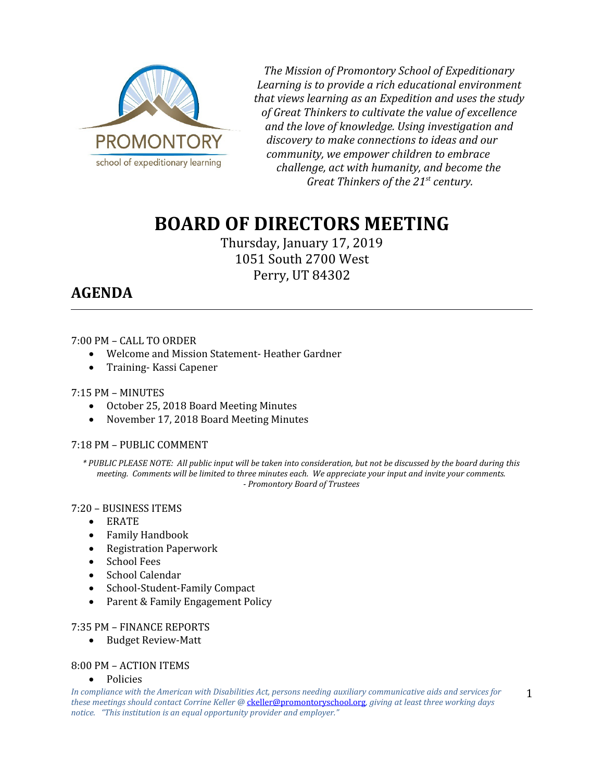

*The Mission of Promontory School of Expeditionary Learning is to provide a rich educational environment that views learning as an Expedition and uses the study of Great Thinkers to cultivate the value of excellence and the love of knowledge. Using investigation and discovery to make connections to ideas and our community, we empower children to embrace challenge, act with humanity, and become the Great Thinkers of the 21st century.*

# **BOARD OF DIRECTORS MEETING**

Thursday, January 17, 2019 1051 South 2700 West Perry, UT 84302

# **AGENDA**

### 7:00 PM – CALL TO ORDER

- Welcome and Mission Statement- Heather Gardner
- Training- Kassi Capener

#### 7:15 PM – MINUTES

- October 25, 2018 Board Meeting Minutes
- November 17, 2018 Board Meeting Minutes

# 7:18 PM – PUBLIC COMMENT

*\* PUBLIC PLEASE NOTE: All public input will be taken into consideration, but not be discussed by the board during this meeting. Comments will be limited to three minutes each. We appreciate your input and invite your comments. - Promontory Board of Trustees*

#### 7:20 – BUSINESS ITEMS

- ERATE
- Family Handbook
- Registration Paperwork
- School Fees
- School Calendar
- School-Student-Family Compact
- Parent & Family Engagement Policy

#### 7:35 PM – FINANCE REPORTS

Budget Review-Matt

#### 8:00 PM – ACTION ITEMS

Policies

*In compliance with the American with Disabilities Act, persons needing auxiliary communicative aids and services for these meetings should contact Corrine Keller @* [ckeller@promontoryschool.org](mailto:ckeller@promontoryschool.org)*, giving at least three working days notice. "This institution is an equal opportunity provider and employer."*

1